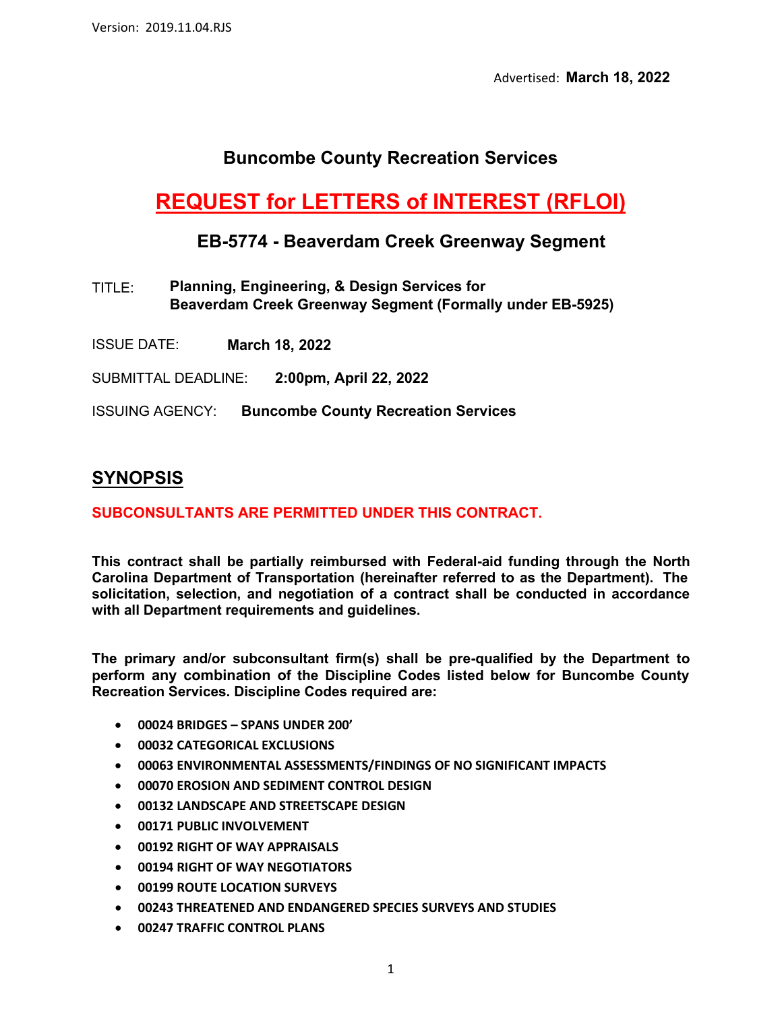Advertised: **March 18, 2022** 

# **Buncombe County Recreation Services**

# **REQUEST for LETTERS of INTEREST (RFLOI)**

### **EB-5774 - Beaverdam Creek Greenway Segment**

- **Planning, Engineering, & Design Services for Beaverdam Creek Greenway Segment (Formally under EB-5925)**  TITLE:
- ISSUE DATE: **March 18, 2022**

SUBMITTAL DEADLINE: **2:00pm, April 22, 2022**

ISSUING AGENCY: **Buncombe County Recreation Services**

### **SYNOPSIS**

#### **SUBCONSULTANTS ARE PERMITTED UNDER THIS CONTRACT.**

**This contract shall be partially reimbursed with Federal-aid funding through the North Carolina Department of Transportation (hereinafter referred to as the Department). The solicitation, selection, and negotiation of a contract shall be conducted in accordance with all Department requirements and guidelines.**

**The primary and/or subconsultant firm(s) shall be pre-qualified by the Department to perform any combination of the Discipline Codes listed below for Buncombe County Recreation Services. Discipline Codes required are:**

- **00024 BRIDGES SPANS UNDER 200'**
- **00032 CATEGORICAL EXCLUSIONS**
- **00063 ENVIRONMENTAL ASSESSMENTS/FINDINGS OF NO SIGNIFICANT IMPACTS**
- **00070 EROSION AND SEDIMENT CONTROL DESIGN**
- **00132 LANDSCAPE AND STREETSCAPE DESIGN**
- **00171 PUBLIC INVOLVEMENT**
- **00192 RIGHT OF WAY APPRAISALS**
- **00194 RIGHT OF WAY NEGOTIATORS**
- **00199 ROUTE LOCATION SURVEYS**
- **00243 THREATENED AND ENDANGERED SPECIES SURVEYS AND STUDIES**
- **00247 TRAFFIC CONTROL PLANS**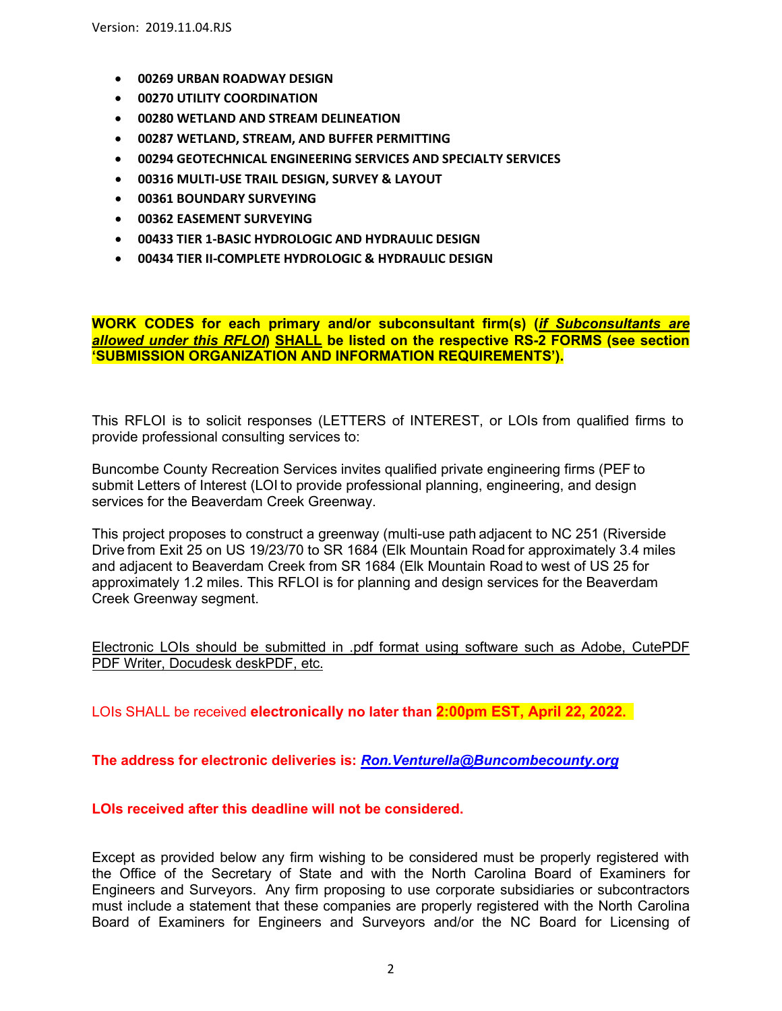- **00269 URBAN ROADWAY DESIGN**
- **00270 UTILITY COORDINATION**
- **00280 WETLAND AND STREAM DELINEATION**
- **00287 WETLAND, STREAM, AND BUFFER PERMITTING**
- **00294 GEOTECHNICAL ENGINEERING SERVICES AND SPECIALTY SERVICES**
- **00316 MULTI-USE TRAIL DESIGN, SURVEY & LAYOUT**
- **00361 BOUNDARY SURVEYING**
- **00362 EASEMENT SURVEYING**
- **00433 TIER 1-BASIC HYDROLOGIC AND HYDRAULIC DESIGN**
- **00434 TIER II-COMPLETE HYDROLOGIC & HYDRAULIC DESIGN**

**WORK CODES for each primary and/or subconsultant firm(s) (***if Subconsultants are allowed under this RFLOI***) SHALL be listed on the respective RS-2 FORMS (see section 'SUBMISSION ORGANIZATION AND INFORMATION REQUIREMENTS').**

This RFLOI is to solicit responses (LETTERS of INTEREST, or LOIs from qualified firms to provide professional consulting services to:

Buncombe County Recreation Services invites qualified private engineering firms (PEF to submit Letters of Interest (LOI to provide professional planning, engineering, and design services for the Beaverdam Creek Greenway.

This project proposes to construct a greenway (multi-use path adjacent to NC 251 (Riverside Drive from Exit 25 on US 19/23/70 to SR 1684 (Elk Mountain Road for approximately 3.4 miles and adjacent to Beaverdam Creek from SR 1684 (Elk Mountain Road to west of US 25 for approximately 1.2 miles. This RFLOI is for planning and design services for the Beaverdam Creek Greenway segment.

Electronic LOIs should be submitted in .pdf format using software such as Adobe, CutePDF PDF Writer, Docudesk deskPDF, etc.

LOIs SHALL be received **electronically no later than 2:00pm EST, April 22, 2022.** 

**The address for electronic deliveries is:** *[Ron.Venturella@Buncombecounty.org](mailto:Ron.Venturella@Buncombecounty.org)*

#### **LOIs received after this deadline will not be considered.**

Except as provided below any firm wishing to be considered must be properly registered with the Office of the Secretary of State and with the North Carolina Board of Examiners for Engineers and Surveyors. Any firm proposing to use corporate subsidiaries or subcontractors must include a statement that these companies are properly registered with the North Carolina Board of Examiners for Engineers and Surveyors and/or the NC Board for Licensing of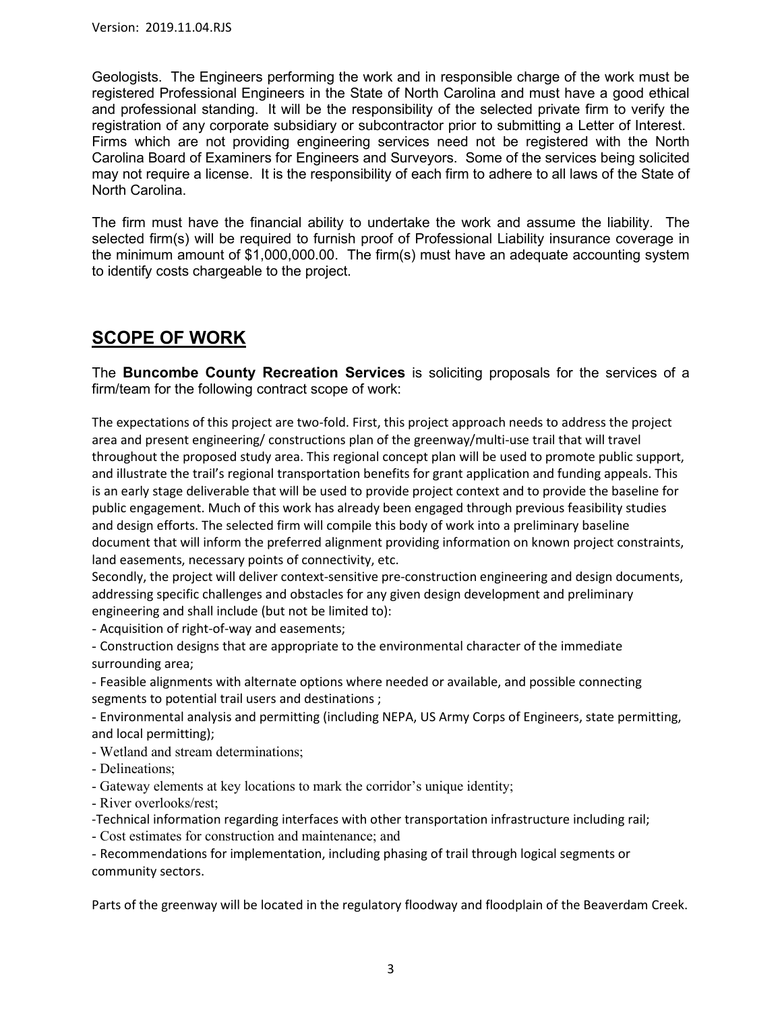Geologists. The Engineers performing the work and in responsible charge of the work must be registered Professional Engineers in the State of North Carolina and must have a good ethical and professional standing. It will be the responsibility of the selected private firm to verify the registration of any corporate subsidiary or subcontractor prior to submitting a Letter of Interest. Firms which are not providing engineering services need not be registered with the North Carolina Board of Examiners for Engineers and Surveyors. Some of the services being solicited may not require a license. It is the responsibility of each firm to adhere to all laws of the State of North Carolina.

The firm must have the financial ability to undertake the work and assume the liability. The selected firm(s) will be required to furnish proof of Professional Liability insurance coverage in the minimum amount of \$1,000,000.00. The firm(s) must have an adequate accounting system to identify costs chargeable to the project.

## **SCOPE OF WORK**

The **Buncombe County Recreation Services** is soliciting proposals for the services of a firm/team for the following contract scope of work:

The expectations of this project are two-fold. First, this project approach needs to address the project area and present engineering/ constructions plan of the greenway/multi-use trail that will travel throughout the proposed study area. This regional concept plan will be used to promote public support, and illustrate the trail's regional transportation benefits for grant application and funding appeals. This is an early stage deliverable that will be used to provide project context and to provide the baseline for public engagement. Much of this work has already been engaged through previous feasibility studies and design efforts. The selected firm will compile this body of work into a preliminary baseline document that will inform the preferred alignment providing information on known project constraints, land easements, necessary points of connectivity, etc.

Secondly, the project will deliver context-sensitive pre-construction engineering and design documents, addressing specific challenges and obstacles for any given design development and preliminary engineering and shall include (but not be limited to):

- Acquisition of right-of-way and easements;

- Construction designs that are appropriate to the environmental character of the immediate surrounding area;

- Feasible alignments with alternate options where needed or available, and possible connecting segments to potential trail users and destinations ;

- Environmental analysis and permitting (including NEPA, US Army Corps of Engineers, state permitting, and local permitting);

- Wetland and stream determinations;
- Delineations;
- Gateway elements at key locations to mark the corridor's unique identity;
- River overlooks/rest;

-Technical information regarding interfaces with other transportation infrastructure including rail;

- Cost estimates for construction and maintenance; and

- Recommendations for implementation, including phasing of trail through logical segments or community sectors.

Parts of the greenway will be located in the regulatory floodway and floodplain of the Beaverdam Creek.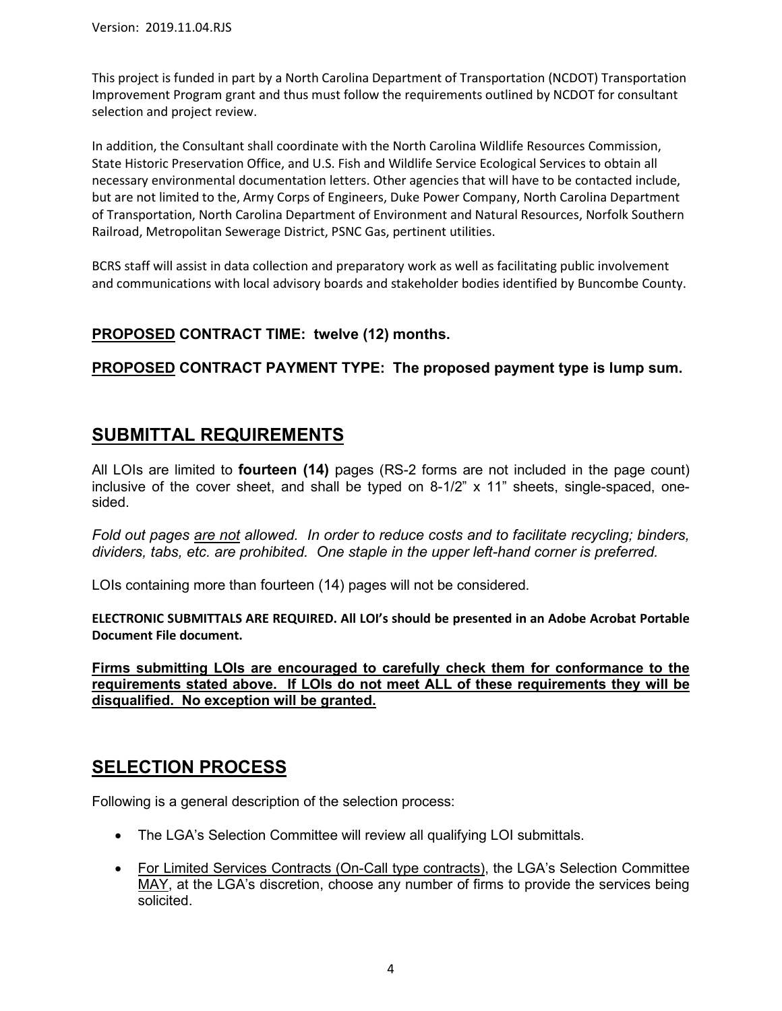This project is funded in part by a North Carolina Department of Transportation (NCDOT) Transportation Improvement Program grant and thus must follow the requirements outlined by NCDOT for consultant selection and project review.

In addition, the Consultant shall coordinate with the North Carolina Wildlife Resources Commission, State Historic Preservation Office, and U.S. Fish and Wildlife Service Ecological Services to obtain all necessary environmental documentation letters. Other agencies that will have to be contacted include, but are not limited to the, Army Corps of Engineers, Duke Power Company, North Carolina Department of Transportation, North Carolina Department of Environment and Natural Resources, Norfolk Southern Railroad, Metropolitan Sewerage District, PSNC Gas, pertinent utilities.

BCRS staff will assist in data collection and preparatory work as well as facilitating public involvement and communications with local advisory boards and stakeholder bodies identified by Buncombe County.

### **PROPOSED CONTRACT TIME: twelve (12) months.**

### **PROPOSED CONTRACT PAYMENT TYPE: The proposed payment type is lump sum.**

### **SUBMITTAL REQUIREMENTS**

All LOIs are limited to **fourteen (14)** pages (RS-2 forms are not included in the page count) inclusive of the cover sheet, and shall be typed on 8-1/2" x 11" sheets, single-spaced, onesided.

*Fold out pages are not allowed. In order to reduce costs and to facilitate recycling; binders, dividers, tabs, etc. are prohibited. One staple in the upper left-hand corner is preferred.*

LOIs containing more than fourteen (14) pages will not be considered.

**ELECTRONIC SUBMITTALS ARE REQUIRED. All LOI's should be presented in an Adobe Acrobat Portable Document File document.**

**Firms submitting LOIs are encouraged to carefully check them for conformance to the requirements stated above. If LOIs do not meet ALL of these requirements they will be disqualified. No exception will be granted.**

# **SELECTION PROCESS**

Following is a general description of the selection process:

- The LGA's Selection Committee will review all qualifying LOI submittals.
- For Limited Services Contracts (On-Call type contracts), the LGA's Selection Committee MAY, at the LGA's discretion, choose any number of firms to provide the services being solicited.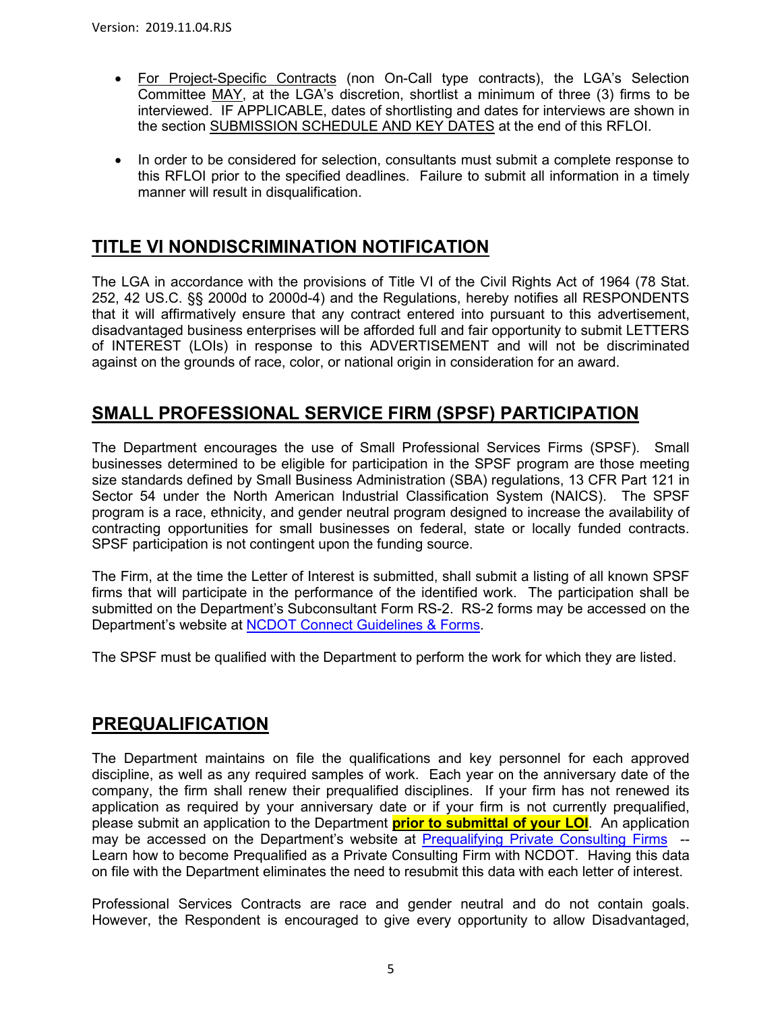- For Project-Specific Contracts (non On-Call type contracts), the LGA's Selection Committee MAY, at the LGA's discretion, shortlist a minimum of three (3) firms to be interviewed. IF APPLICABLE, dates of shortlisting and dates for interviews are shown in the section SUBMISSION SCHEDULE AND KEY DATES at the end of this RFLOI.
- In order to be considered for selection, consultants must submit a complete response to this RFLOI prior to the specified deadlines. Failure to submit all information in a timely manner will result in disqualification.

### **TITLE VI NONDISCRIMINATION NOTIFICATION**

The LGA in accordance with the provisions of Title VI of the Civil Rights Act of 1964 (78 Stat. 252, 42 US.C. §§ 2000d to 2000d-4) and the Regulations, hereby notifies all RESPONDENTS that it will affirmatively ensure that any contract entered into pursuant to this advertisement, disadvantaged business enterprises will be afforded full and fair opportunity to submit LETTERS of INTEREST (LOIs) in response to this ADVERTISEMENT and will not be discriminated against on the grounds of race, color, or national origin in consideration for an award.

### **SMALL PROFESSIONAL SERVICE FIRM (SPSF) PARTICIPATION**

The Department encourages the use of Small Professional Services Firms (SPSF). Small businesses determined to be eligible for participation in the SPSF program are those meeting size standards defined by Small Business Administration (SBA) regulations, 13 CFR Part 121 in Sector 54 under the North American Industrial Classification System (NAICS). The SPSF program is a race, ethnicity, and gender neutral program designed to increase the availability of contracting opportunities for small businesses on federal, state or locally funded contracts. SPSF participation is not contingent upon the funding source.

The Firm, at the time the Letter of Interest is submitted, shall submit a listing of all known SPSF firms that will participate in the performance of the identified work. The participation shall be submitted on the Department's Subconsultant Form RS-2. RS-2 forms may be accessed on the Department's website at [NCDOT Connect Guidelines & Forms.](https://connect.ncdot.gov/business/consultants/Pages/Guidelines-Forms.aspx)

The SPSF must be qualified with the Department to perform the work for which they are listed.

### **PREQUALIFICATION**

The Department maintains on file the qualifications and key personnel for each approved discipline, as well as any required samples of work. Each year on the anniversary date of the company, the firm shall renew their prequalified disciplines. If your firm has not renewed its application as required by your anniversary date or if your firm is not currently prequalified, please submit an application to the Department **prior to submittal of your LOI**. An application may be accessed on the Department's website at [Prequalifying Private Consulting Firms](https://connect.ncdot.gov/business/Prequal/Pages/Private-Consulting-Firm.aspx) -- Learn how to become Prequalified as a Private Consulting Firm with NCDOT. Having this data on file with the Department eliminates the need to resubmit this data with each letter of interest.

Professional Services Contracts are race and gender neutral and do not contain goals. However, the Respondent is encouraged to give every opportunity to allow Disadvantaged,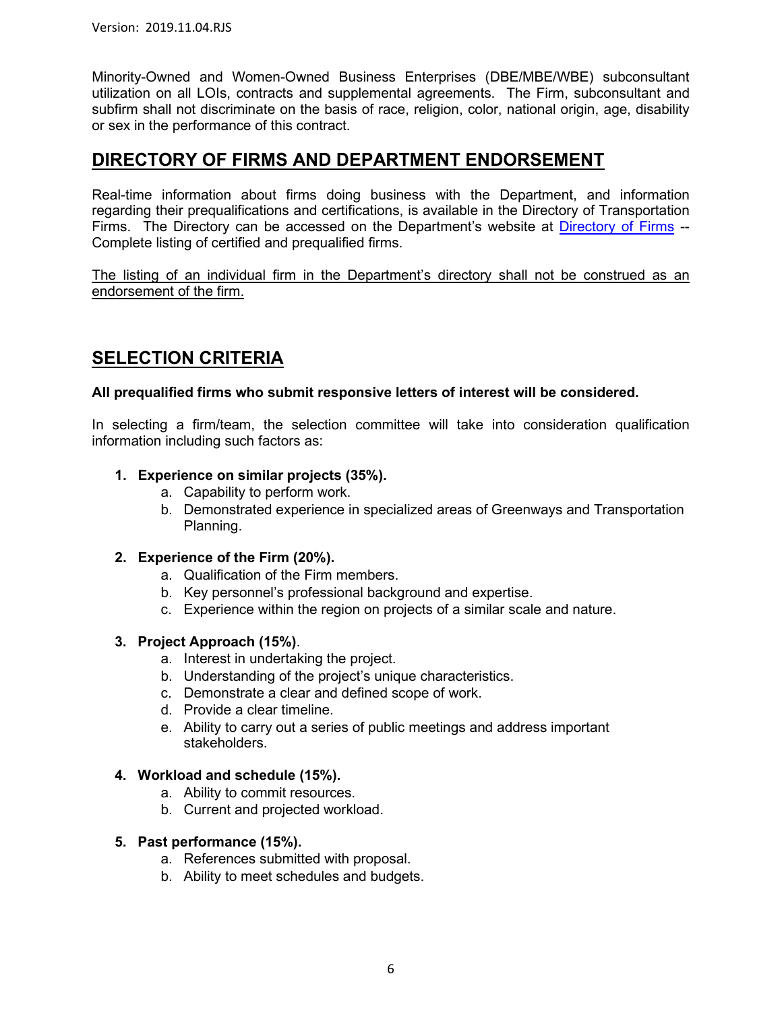Minority-Owned and Women-Owned Business Enterprises (DBE/MBE/WBE) subconsultant utilization on all LOIs, contracts and supplemental agreements. The Firm, subconsultant and subfirm shall not discriminate on the basis of race, religion, color, national origin, age, disability or sex in the performance of this contract.

### **DIRECTORY OF FIRMS AND DEPARTMENT ENDORSEMENT**

Real-time information about firms doing business with the Department, and information regarding their prequalifications and certifications, is available in the Directory of Transportation Firms. The Directory can be accessed on the Department's website at [Directory of Firms](https://www.ebs.nc.gov/VendorDirectory/default.html) -- Complete listing of certified and prequalified firms.

The listing of an individual firm in the Department's directory shall not be construed as an endorsement of the firm.

### **SELECTION CRITERIA**

#### **All prequalified firms who submit responsive letters of interest will be considered.**

In selecting a firm/team, the selection committee will take into consideration qualification information including such factors as:

#### **1. Experience on similar projects (35%).**

- a. Capability to perform work.
- b. Demonstrated experience in specialized areas of Greenways and Transportation Planning.

#### **2. Experience of the Firm (20%).**

- a. Qualification of the Firm members.
- b. Key personnel's professional background and expertise.
- c. Experience within the region on projects of a similar scale and nature.

#### **3. Project Approach (15%)**.

- a. Interest in undertaking the project.
- b. Understanding of the project's unique characteristics.
- c. Demonstrate a clear and defined scope of work.
- d. Provide a clear timeline.
- e. Ability to carry out a series of public meetings and address important stakeholders.

#### **4. Workload and schedule (15%).**

- a. Ability to commit resources.
- b. Current and projected workload.

#### **5. Past performance (15%).**

- a. References submitted with proposal.
- b. Ability to meet schedules and budgets.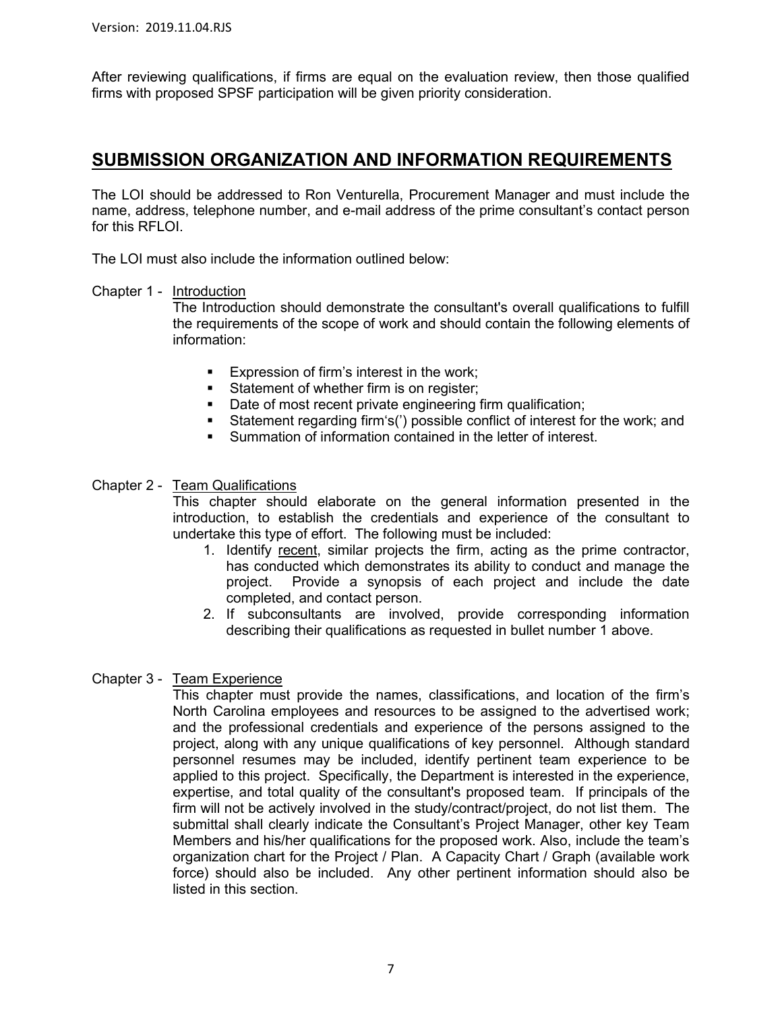After reviewing qualifications, if firms are equal on the evaluation review, then those qualified firms with proposed SPSF participation will be given priority consideration.

### **SUBMISSION ORGANIZATION AND INFORMATION REQUIREMENTS**

The LOI should be addressed to Ron Venturella, Procurement Manager and must include the name, address, telephone number, and e-mail address of the prime consultant's contact person for this RFLOI.

The LOI must also include the information outlined below:

#### Chapter 1 - Introduction

The Introduction should demonstrate the consultant's overall qualifications to fulfill the requirements of the scope of work and should contain the following elements of information:

- **Expression of firm's interest in the work;**
- Statement of whether firm is on register;
- Date of most recent private engineering firm qualification;<br>Statement regarding firm s(') possible conflict of interest fo
- Statement regarding firm's(') possible conflict of interest for the work; and
- Summation of information contained in the letter of interest.

#### Chapter 2 - Team Qualifications

This chapter should elaborate on the general information presented in the introduction, to establish the credentials and experience of the consultant to undertake this type of effort. The following must be included:

- 1. Identify recent, similar projects the firm, acting as the prime contractor, has conducted which demonstrates its ability to conduct and manage the project. Provide a synopsis of each project and include the date completed, and contact person.
- 2. If subconsultants are involved, provide corresponding information describing their qualifications as requested in bullet number 1 above.

#### Chapter 3 - Team Experience

This chapter must provide the names, classifications, and location of the firm's North Carolina employees and resources to be assigned to the advertised work; and the professional credentials and experience of the persons assigned to the project, along with any unique qualifications of key personnel. Although standard personnel resumes may be included, identify pertinent team experience to be applied to this project. Specifically, the Department is interested in the experience, expertise, and total quality of the consultant's proposed team. If principals of the firm will not be actively involved in the study/contract/project, do not list them. The submittal shall clearly indicate the Consultant's Project Manager, other key Team Members and his/her qualifications for the proposed work. Also, include the team's organization chart for the Project / Plan. A Capacity Chart / Graph (available work force) should also be included. Any other pertinent information should also be listed in this section.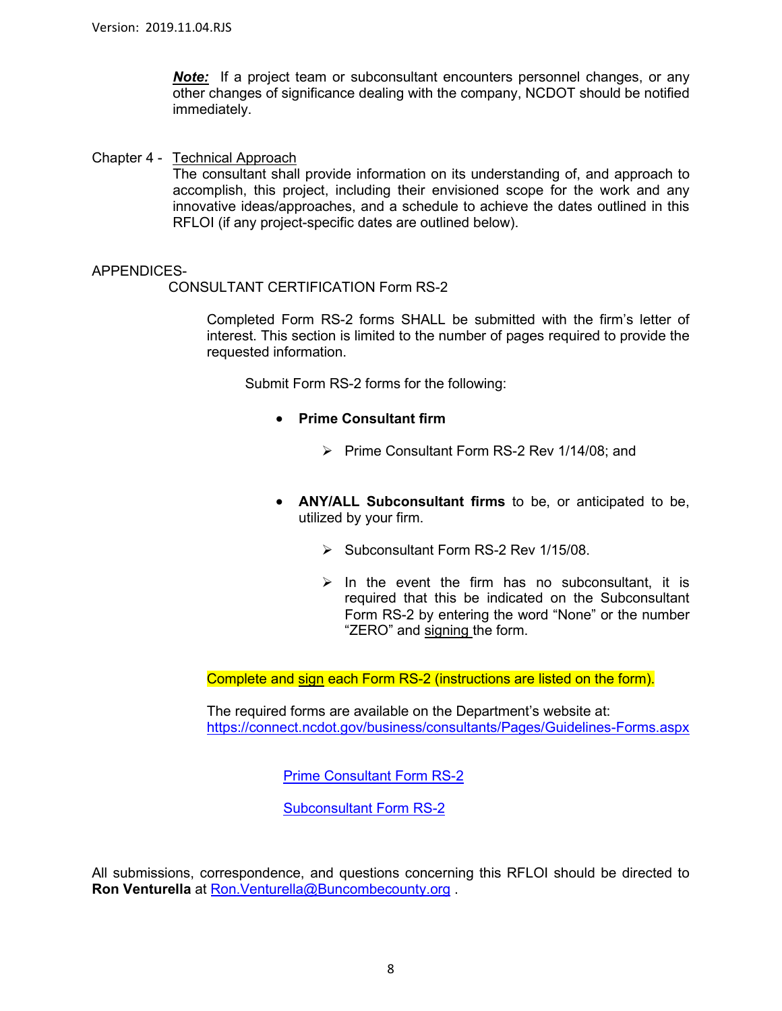**Note:** If a project team or subconsultant encounters personnel changes, or any other changes of significance dealing with the company, NCDOT should be notified immediately.

Chapter 4 - Technical Approach

The consultant shall provide information on its understanding of, and approach to accomplish, this project, including their envisioned scope for the work and any innovative ideas/approaches, and a schedule to achieve the dates outlined in this RFLOI (if any project-specific dates are outlined below).

#### APPENDICES-

CONSULTANT CERTIFICATION Form RS-2

Completed Form RS-2 forms SHALL be submitted with the firm's letter of interest. This section is limited to the number of pages required to provide the requested information.

Submit Form RS-2 forms for the following:

- **Prime Consultant firm**
	- $\triangleright$  Prime Consultant Form RS-2 Rev 1/14/08; and
- **ANY/ALL Subconsultant firms** to be, or anticipated to be, utilized by your firm.
	- Subconsultant Form RS-2 Rev 1/15/08.
	- $\triangleright$  In the event the firm has no subconsultant, it is required that this be indicated on the Subconsultant Form RS-2 by entering the word "None" or the number "ZERO" and signing the form.

Complete and sign each Form RS-2 (instructions are listed on the form).

The required forms are available on the Department's website at: <https://connect.ncdot.gov/business/consultants/Pages/Guidelines-Forms.aspx>

[Prime Consultant Form RS-2](https://connect.ncdot.gov/business/consultants/Roadway/Form%20RS-2%20Prime%20Contractor%20(Task%20Orders%20ONLY).pdf)

[Subconsultant Form RS-2](https://connect.ncdot.gov/business/consultants/Roadway/Form%20RS-2%20Subcontract%20(Task%20Orders%20ONLY).pdf)

All submissions, correspondence, and questions concerning this RFLOI should be directed to **Ron Venturella** at [Ron.Venturella@Buncombecounty.org](mailto:Ron.Venturella@Buncombecounty.org) .